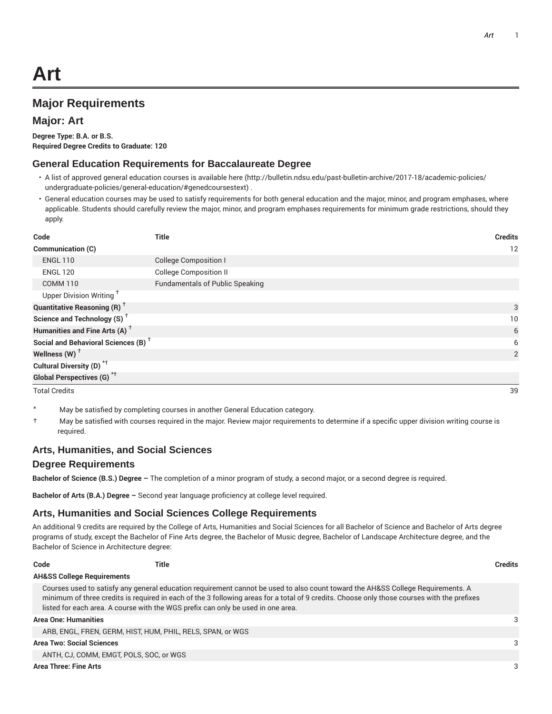# **Major Requirements**

### **Major: Art**

**Degree Type: B.A. or B.S. Required Degree Credits to Graduate: 120**

#### **General Education Requirements for Baccalaureate Degree**

- A list of approved general education courses is available here (http://bulletin.ndsu.edu/past-bulletin-archive/2017-18/academic-policies/ undergraduate-policies/general-education/#genedcoursestext) .
- General education courses may be used to satisfy requirements for both general education and the major, minor, and program emphases, where applicable. Students should carefully review the major, minor, and program emphases requirements for minimum grade restrictions, should they apply.

| Code                                            | <b>Title</b>                           | <b>Credits</b> |
|-------------------------------------------------|----------------------------------------|----------------|
| Communication (C)                               |                                        | 12             |
| <b>ENGL 110</b>                                 | <b>College Composition I</b>           |                |
| <b>ENGL 120</b>                                 | <b>College Composition II</b>          |                |
| <b>COMM 110</b>                                 | <b>Fundamentals of Public Speaking</b> |                |
| Upper Division Writing <sup>+</sup>             |                                        |                |
| <b>Quantitative Reasoning (R)</b> <sup>†</sup>  |                                        | 3              |
| Science and Technology (S) <sup>+</sup>         |                                        | 10             |
| Humanities and Fine Arts (A) <sup>+</sup>       |                                        | 6              |
| Social and Behavioral Sciences (B) <sup>+</sup> |                                        | 6              |
| Wellness $(W)$ <sup>+</sup>                     |                                        | 2              |
| Cultural Diversity (D) <sup>*†</sup>            |                                        |                |
| <b>Global Perspectives (G)<sup>*†</sup></b>     |                                        |                |

Total Credits 39

- \* May be satisfied by completing courses in another General Education category.
- † May be satisfied with courses required in the major. Review major requirements to determine if a specific upper division writing course is required.

### **Arts, Humanities, and Social Sciences**

#### **Degree Requirements**

**Bachelor of Science (B.S.) Degree –** The completion of a minor program of study, a second major, or a second degree is required.

**Bachelor of Arts (B.A.) Degree –** Second year language proficiency at college level required.

### **Arts, Humanities and Social Sciences College Requirements**

An additional 9 credits are required by the College of Arts, Humanities and Social Sciences for all Bachelor of Science and Bachelor of Arts degree programs of study, except the Bachelor of Fine Arts degree, the Bachelor of Music degree, Bachelor of Landscape Architecture degree, and the Bachelor of Science in Architecture degree:

| Code                                    | Title                                                                            |                                                                                                                                                                                                                                                                                | <b>Credits</b> |
|-----------------------------------------|----------------------------------------------------------------------------------|--------------------------------------------------------------------------------------------------------------------------------------------------------------------------------------------------------------------------------------------------------------------------------|----------------|
| <b>AH&amp;SS College Requirements</b>   |                                                                                  |                                                                                                                                                                                                                                                                                |                |
|                                         | listed for each area. A course with the WGS prefix can only be used in one area. | Courses used to satisfy any general education requirement cannot be used to also count toward the AH&SS College Requirements. A<br>minimum of three credits is required in each of the 3 following areas for a total of 9 credits. Choose only those courses with the prefixes |                |
| Area One: Humanities                    |                                                                                  |                                                                                                                                                                                                                                                                                | 3              |
|                                         | ARB, ENGL, FREN, GERM, HIST, HUM, PHIL, RELS, SPAN, or WGS                       |                                                                                                                                                                                                                                                                                |                |
| Area Two: Social Sciences               |                                                                                  |                                                                                                                                                                                                                                                                                | 3              |
| ANTH, CJ, COMM, EMGT, POLS, SOC, or WGS |                                                                                  |                                                                                                                                                                                                                                                                                |                |
|                                         |                                                                                  |                                                                                                                                                                                                                                                                                |                |

**Area Three: Fine Arts** 3